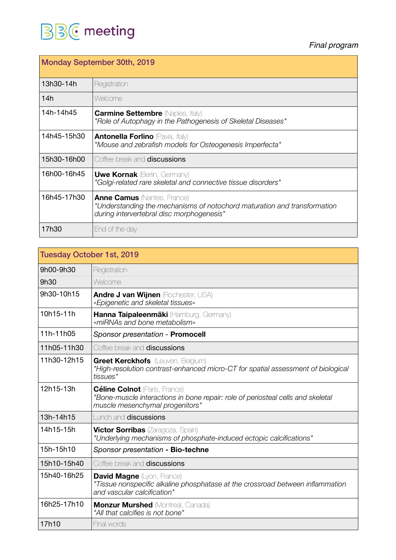## **BB C** meeting

*Final program* 

| <b>Monday September 30th, 2019</b> |                                                                                                                                                             |
|------------------------------------|-------------------------------------------------------------------------------------------------------------------------------------------------------------|
| 13h30-14h                          | Registration                                                                                                                                                |
| 14h                                | Welcome                                                                                                                                                     |
| 14h-14h45                          | <b>Carmine Settembre</b> (Naples, Italy)<br>"Role of Autophagy in the Pathogenesis of Skeletal Diseases"                                                    |
| 14h45-15h30                        | <b>Antonella Forlino</b> (Pavia, Italy)<br>"Mouse and zebrafish models for Osteogenesis Imperfecta"                                                         |
| 15h30-16h00                        | Coffee break and <b>discussions</b>                                                                                                                         |
| 16h00-16h45                        | <b>Uwe Kornak (Berlin, Germany)</b><br>"Golgi-related rare skeletal and connective tissue disorders"                                                        |
| 16h45-17h30                        | <b>Anne Camus</b> (Nantes, France)<br>"Understanding the mechanisms of notochord maturation and transformation<br>during intervertebral disc morphogenesis" |
| 17h30                              | End of the day                                                                                                                                              |

| <b>Tuesday October 1st, 2019</b> |                                                                                                                                                            |
|----------------------------------|------------------------------------------------------------------------------------------------------------------------------------------------------------|
| 9h00-9h30                        | Registration                                                                                                                                               |
| 9h30                             | Welcome                                                                                                                                                    |
| 9h30-10h15                       | <b>Andre J van Wijnen (Rochester, USA)</b><br>«Epigenetic and skeletal tissues»                                                                            |
| 10h15-11h                        | Hanna Taipaleenmäki (Hamburg, Germany)<br>«miRNAs and bone metabolism»                                                                                     |
| 11h-11h05                        | Sponsor presentation - Promocell                                                                                                                           |
| 11h05-11h30                      | Coffee break and <b>discussions</b>                                                                                                                        |
| 11h30-12h15                      | <b>Greet Kerckhofs</b> (Leuven, Belgium)<br>"High-resolution contrast-enhanced micro-CT for spatial assessment of biological<br>tissues"                   |
| 12h15-13h                        | <b>Céline Colnot</b> (Paris, France)<br>"Bone-muscle interactions in bone repair: role of periosteal cells and skeletal<br>muscle mesenchymal progenitors" |
| 13h-14h15                        | Lunch and <b>discussions</b>                                                                                                                               |
| 14h15-15h                        | <b>Victor Sorribas</b> (Zaragoza, Spain)<br>"Underlying mechanisms of phosphate-induced ectopic calcifications"                                            |
| 15h-15h10                        | Sponsor presentation - Bio-techne                                                                                                                          |
| 15h10-15h40                      | Coffee break and <b>discussions</b>                                                                                                                        |
| 15h40-16h25                      | <b>David Magne</b> (Lyon, France)<br>"Tissue nonspecific alkaline phosphatase at the crossroad between inflammation<br>and vascular calcification"         |
| 16h25-17h10                      | <b>Monzur Murshed</b> (Montreal, Canada)<br>"All that calcifies is not bone"                                                                               |
| 17h10                            | Final words                                                                                                                                                |